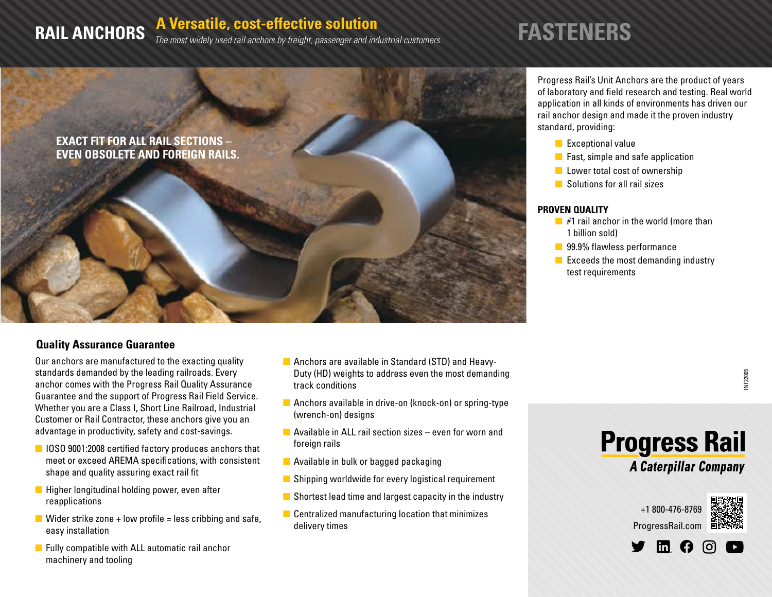# **RAIL ANCHORS** A Versatile, cost-effective solution<br> **RAIL ANCHORS** The most widely used rail anchors by freight, passenger and industrial customers. **FASTENERS**



#### **Quality Assurance Guarantee**

Our anchors are manufactured to the exacting quality standards demanded by the leading railroads. Every anchor comes with the Progress Rail Quality Assurance Guarantee and the support of Progress Rail Field Service. Whether you are a Class I, Short Line Railroad, Industrial Customer or Rail Contractor, these anchors give you an advantage in productivity, safety and cost-savings.

- **n** IOSO 9001:2008 certified factory produces anchors that meet or exceed AREMA specifications, with consistent shape and quality assuring exact rail fit
- $\blacksquare$  Higher longitudinal holding power, even after reapplications
- **N** Wider strike zone + low profile = less cribbing and safe, easy installation
- $\blacksquare$  Fully compatible with ALL automatic rail anchor machinery and tooling
- $\blacksquare$  Anchors are available in Standard (STD) and Heavy-Duty (HD) weights to address even the most demanding track conditions
- $\blacksquare$  Anchors available in drive-on (knock-on) or spring-type (wrench-on) designs
- $\blacksquare$  Available in ALL rail section sizes even for worn and foreign rails
- $\blacksquare$  Available in bulk or bagged packaging
- $\blacksquare$  Shipping worldwide for every logistical requirement
- $\blacksquare$  Shortest lead time and largest capacity in the industry
- $\blacksquare$  Centralized manufacturing location that minimizes delivery times

Progress Rail's Unit Anchors are the product of years of laboratory and field research and testing. Real world application in all kinds of environments has driven our rail anchor design and made it the proven industry standard, providing:

- $\blacksquare$  Exceptional value
- $\blacksquare$  Fast, simple and safe application
- $\blacksquare$  Lower total cost of ownership
- $\blacksquare$  Solutions for all rail sizes

#### **PROVEN QUALITY**

- $\blacksquare$  #1 rail anchor in the world (more than 1 billion sold)
- 99.9% flawless performance
- $\blacksquare$  Exceeds the most demanding industry test requirements